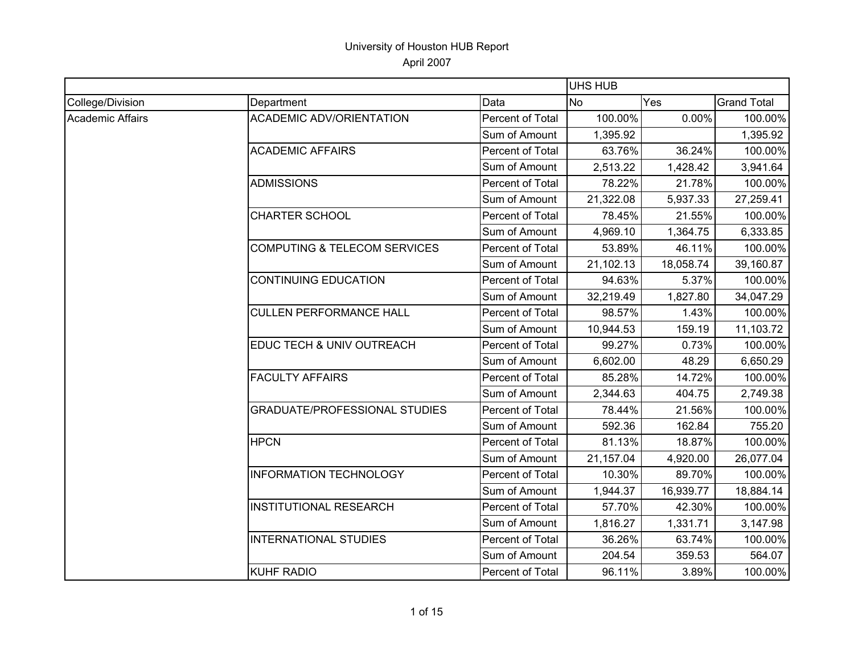|                  |                                         |                  | <b>UHS HUB</b> |           |                    |
|------------------|-----------------------------------------|------------------|----------------|-----------|--------------------|
| College/Division | Department                              | Data             | <b>No</b>      | Yes       | <b>Grand Total</b> |
| Academic Affairs | <b>ACADEMIC ADV/ORIENTATION</b>         | Percent of Total | 100.00%        | 0.00%     | 100.00%            |
|                  |                                         | Sum of Amount    | 1,395.92       |           | 1,395.92           |
|                  | <b>ACADEMIC AFFAIRS</b>                 | Percent of Total | 63.76%         | 36.24%    | 100.00%            |
|                  |                                         | Sum of Amount    | 2,513.22       | 1,428.42  | 3,941.64           |
|                  | <b>ADMISSIONS</b>                       | Percent of Total | 78.22%         | 21.78%    | 100.00%            |
|                  |                                         | Sum of Amount    | 21,322.08      | 5,937.33  | 27,259.41          |
|                  | <b>CHARTER SCHOOL</b>                   | Percent of Total | 78.45%         | 21.55%    | 100.00%            |
|                  |                                         | Sum of Amount    | 4,969.10       | 1,364.75  | 6,333.85           |
|                  | <b>COMPUTING &amp; TELECOM SERVICES</b> | Percent of Total | 53.89%         | 46.11%    | 100.00%            |
|                  |                                         | Sum of Amount    | 21,102.13      | 18,058.74 | 39,160.87          |
|                  | <b>CONTINUING EDUCATION</b>             | Percent of Total | 94.63%         | 5.37%     | 100.00%            |
|                  |                                         | Sum of Amount    | 32,219.49      | 1,827.80  | 34,047.29          |
|                  | <b>CULLEN PERFORMANCE HALL</b>          | Percent of Total | 98.57%         | 1.43%     | 100.00%            |
|                  |                                         | Sum of Amount    | 10,944.53      | 159.19    | 11,103.72          |
|                  | EDUC TECH & UNIV OUTREACH               | Percent of Total | 99.27%         | 0.73%     | 100.00%            |
|                  |                                         | Sum of Amount    | 6,602.00       | 48.29     | 6,650.29           |
|                  | <b>FACULTY AFFAIRS</b>                  | Percent of Total | 85.28%         | 14.72%    | 100.00%            |
|                  |                                         | Sum of Amount    | 2,344.63       | 404.75    | 2,749.38           |
|                  | <b>GRADUATE/PROFESSIONAL STUDIES</b>    | Percent of Total | 78.44%         | 21.56%    | 100.00%            |
|                  |                                         | Sum of Amount    | 592.36         | 162.84    | 755.20             |
|                  | <b>HPCN</b>                             | Percent of Total | 81.13%         | 18.87%    | 100.00%            |
|                  |                                         | Sum of Amount    | 21,157.04      | 4,920.00  | 26,077.04          |
|                  | <b>INFORMATION TECHNOLOGY</b>           | Percent of Total | 10.30%         | 89.70%    | 100.00%            |
|                  |                                         | Sum of Amount    | 1,944.37       | 16,939.77 | 18,884.14          |
|                  | <b>INSTITUTIONAL RESEARCH</b>           | Percent of Total | 57.70%         | 42.30%    | 100.00%            |
|                  |                                         | Sum of Amount    | 1,816.27       | 1,331.71  | 3,147.98           |
|                  | <b>INTERNATIONAL STUDIES</b>            | Percent of Total | 36.26%         | 63.74%    | 100.00%            |
|                  |                                         | Sum of Amount    | 204.54         | 359.53    | 564.07             |
|                  | <b>KUHF RADIO</b>                       | Percent of Total | 96.11%         | 3.89%     | 100.00%            |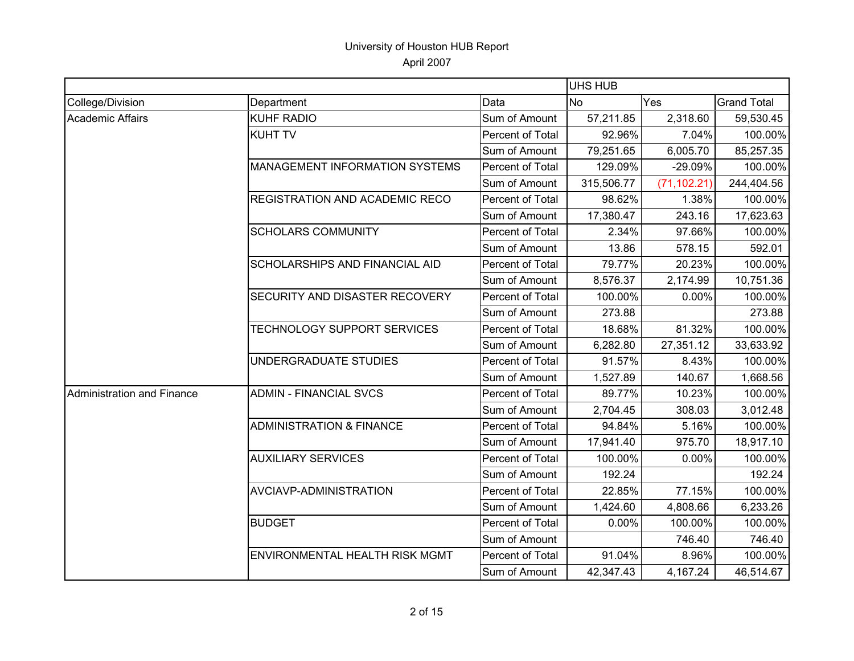|                            |                                     |                  | <b>UHS HUB</b> |              |                    |  |
|----------------------------|-------------------------------------|------------------|----------------|--------------|--------------------|--|
| College/Division           | Department                          | Data             | <b>No</b>      | Yes          | <b>Grand Total</b> |  |
| <b>Academic Affairs</b>    | <b>KUHF RADIO</b>                   | Sum of Amount    | 57,211.85      | 2,318.60     | 59,530.45          |  |
|                            | <b>KUHT TV</b>                      | Percent of Total | 92.96%         | 7.04%        | 100.00%            |  |
|                            |                                     | Sum of Amount    | 79,251.65      | 6,005.70     | 85,257.35          |  |
|                            | MANAGEMENT INFORMATION SYSTEMS      | Percent of Total | 129.09%        | $-29.09%$    | 100.00%            |  |
|                            |                                     | Sum of Amount    | 315,506.77     | (71, 102.21) | 244,404.56         |  |
|                            | REGISTRATION AND ACADEMIC RECO      | Percent of Total | 98.62%         | 1.38%        | 100.00%            |  |
|                            |                                     | Sum of Amount    | 17,380.47      | 243.16       | 17,623.63          |  |
|                            | <b>SCHOLARS COMMUNITY</b>           | Percent of Total | 2.34%          | 97.66%       | 100.00%            |  |
|                            |                                     | Sum of Amount    | 13.86          | 578.15       | 592.01             |  |
|                            | SCHOLARSHIPS AND FINANCIAL AID      | Percent of Total | 79.77%         | 20.23%       | 100.00%            |  |
|                            |                                     | Sum of Amount    | 8,576.37       | 2,174.99     | 10,751.36          |  |
|                            | SECURITY AND DISASTER RECOVERY      | Percent of Total | 100.00%        | 0.00%        | 100.00%            |  |
|                            |                                     | Sum of Amount    | 273.88         |              | 273.88             |  |
|                            | TECHNOLOGY SUPPORT SERVICES         | Percent of Total | 18.68%         | 81.32%       | 100.00%            |  |
|                            |                                     | Sum of Amount    | 6,282.80       | 27,351.12    | 33,633.92          |  |
|                            | UNDERGRADUATE STUDIES               | Percent of Total | 91.57%         | 8.43%        | 100.00%            |  |
|                            |                                     | Sum of Amount    | 1,527.89       | 140.67       | 1,668.56           |  |
| Administration and Finance | <b>ADMIN - FINANCIAL SVCS</b>       | Percent of Total | 89.77%         | 10.23%       | 100.00%            |  |
|                            |                                     | Sum of Amount    | 2,704.45       | 308.03       | 3,012.48           |  |
|                            | <b>ADMINISTRATION &amp; FINANCE</b> | Percent of Total | 94.84%         | 5.16%        | 100.00%            |  |
|                            |                                     | Sum of Amount    | 17,941.40      | 975.70       | 18,917.10          |  |
|                            | <b>AUXILIARY SERVICES</b>           | Percent of Total | 100.00%        | 0.00%        | 100.00%            |  |
|                            |                                     | Sum of Amount    | 192.24         |              | 192.24             |  |
|                            | AVCIAVP-ADMINISTRATION              | Percent of Total | 22.85%         | 77.15%       | 100.00%            |  |
|                            |                                     | Sum of Amount    | 1,424.60       | 4,808.66     | 6,233.26           |  |
|                            | <b>BUDGET</b>                       | Percent of Total | 0.00%          | 100.00%      | 100.00%            |  |
|                            |                                     | Sum of Amount    |                | 746.40       | 746.40             |  |
|                            | ENVIRONMENTAL HEALTH RISK MGMT      | Percent of Total | 91.04%         | 8.96%        | 100.00%            |  |
|                            |                                     | Sum of Amount    | 42,347.43      | 4,167.24     | 46,514.67          |  |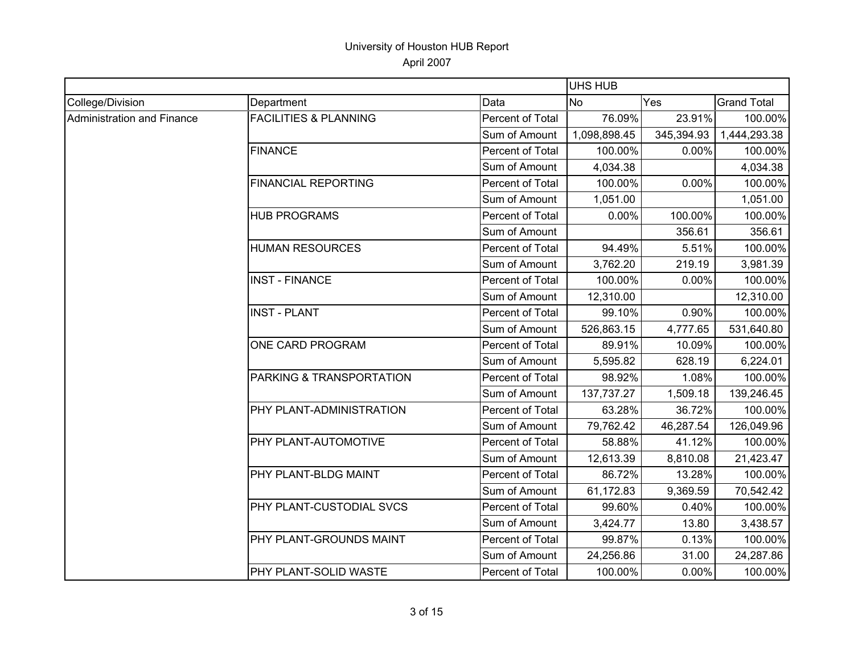|                            |                                  |                  | <b>UHS HUB</b> |            |                    |
|----------------------------|----------------------------------|------------------|----------------|------------|--------------------|
| College/Division           | Department                       | Data             | <b>No</b>      | Yes        | <b>Grand Total</b> |
| Administration and Finance | <b>FACILITIES &amp; PLANNING</b> | Percent of Total | 76.09%         | 23.91%     | 100.00%            |
|                            |                                  | Sum of Amount    | 1,098,898.45   | 345,394.93 | 1,444,293.38       |
|                            | <b>FINANCE</b>                   | Percent of Total | 100.00%        | 0.00%      | 100.00%            |
|                            |                                  | Sum of Amount    | 4,034.38       |            | 4,034.38           |
|                            | <b>FINANCIAL REPORTING</b>       | Percent of Total | 100.00%        | 0.00%      | 100.00%            |
|                            |                                  | Sum of Amount    | 1,051.00       |            | 1,051.00           |
|                            | <b>HUB PROGRAMS</b>              | Percent of Total | 0.00%          | 100.00%    | 100.00%            |
|                            |                                  | Sum of Amount    |                | 356.61     | 356.61             |
|                            | <b>HUMAN RESOURCES</b>           | Percent of Total | 94.49%         | 5.51%      | 100.00%            |
|                            |                                  | Sum of Amount    | 3,762.20       | 219.19     | 3,981.39           |
|                            | <b>INST - FINANCE</b>            | Percent of Total | 100.00%        | 0.00%      | 100.00%            |
|                            |                                  | Sum of Amount    | 12,310.00      |            | 12,310.00          |
|                            | <b>INST - PLANT</b>              | Percent of Total | 99.10%         | 0.90%      | 100.00%            |
|                            |                                  | Sum of Amount    | 526,863.15     | 4,777.65   | 531,640.80         |
|                            | ONE CARD PROGRAM                 | Percent of Total | 89.91%         | 10.09%     | 100.00%            |
|                            |                                  | Sum of Amount    | 5,595.82       | 628.19     | 6,224.01           |
|                            | PARKING & TRANSPORTATION         | Percent of Total | 98.92%         | 1.08%      | 100.00%            |
|                            |                                  | Sum of Amount    | 137,737.27     | 1,509.18   | 139,246.45         |
|                            | PHY PLANT-ADMINISTRATION         | Percent of Total | 63.28%         | 36.72%     | 100.00%            |
|                            |                                  | Sum of Amount    | 79,762.42      | 46,287.54  | 126,049.96         |
|                            | PHY PLANT-AUTOMOTIVE             | Percent of Total | 58.88%         | 41.12%     | 100.00%            |
|                            |                                  | Sum of Amount    | 12,613.39      | 8,810.08   | 21,423.47          |
|                            | PHY PLANT-BLDG MAINT             | Percent of Total | 86.72%         | 13.28%     | 100.00%            |
|                            |                                  | Sum of Amount    | 61,172.83      | 9,369.59   | 70,542.42          |
|                            | PHY PLANT-CUSTODIAL SVCS         | Percent of Total | 99.60%         | 0.40%      | 100.00%            |
|                            |                                  | Sum of Amount    | 3,424.77       | 13.80      | 3,438.57           |
|                            | PHY PLANT-GROUNDS MAINT          | Percent of Total | 99.87%         | 0.13%      | 100.00%            |
|                            |                                  | Sum of Amount    | 24,256.86      | 31.00      | 24,287.86          |
|                            | PHY PLANT-SOLID WASTE            | Percent of Total | 100.00%        | 0.00%      | 100.00%            |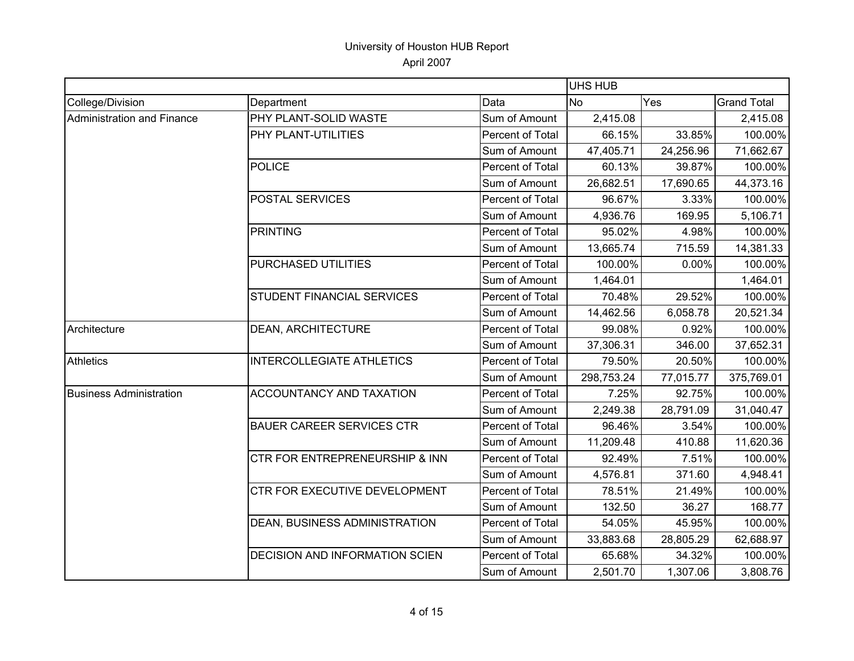|                                   |                                       |                  | UHS HUB    |           |                    |
|-----------------------------------|---------------------------------------|------------------|------------|-----------|--------------------|
| College/Division                  | Department                            | Data             | <b>No</b>  | Yes       | <b>Grand Total</b> |
| <b>Administration and Finance</b> | PHY PLANT-SOLID WASTE                 | Sum of Amount    | 2,415.08   |           | 2,415.08           |
|                                   | PHY PLANT-UTILITIES                   | Percent of Total | 66.15%     | 33.85%    | 100.00%            |
|                                   |                                       | Sum of Amount    | 47,405.71  | 24,256.96 | 71,662.67          |
|                                   | <b>POLICE</b>                         | Percent of Total | 60.13%     | 39.87%    | 100.00%            |
|                                   |                                       | Sum of Amount    | 26,682.51  | 17,690.65 | 44,373.16          |
|                                   | <b>POSTAL SERVICES</b>                | Percent of Total | 96.67%     | 3.33%     | 100.00%            |
|                                   |                                       | Sum of Amount    | 4,936.76   | 169.95    | 5,106.71           |
|                                   | <b>PRINTING</b>                       | Percent of Total | 95.02%     | 4.98%     | 100.00%            |
|                                   |                                       | Sum of Amount    | 13,665.74  | 715.59    | 14,381.33          |
|                                   | PURCHASED UTILITIES                   | Percent of Total | 100.00%    | 0.00%     | 100.00%            |
|                                   |                                       | Sum of Amount    | 1,464.01   |           | 1,464.01           |
|                                   | STUDENT FINANCIAL SERVICES            | Percent of Total | 70.48%     | 29.52%    | 100.00%            |
|                                   |                                       | Sum of Amount    | 14,462.56  | 6,058.78  | 20,521.34          |
| Architecture                      | <b>DEAN, ARCHITECTURE</b>             | Percent of Total | 99.08%     | 0.92%     | 100.00%            |
|                                   |                                       | Sum of Amount    | 37,306.31  | 346.00    | 37,652.31          |
| <b>Athletics</b>                  | <b>INTERCOLLEGIATE ATHLETICS</b>      | Percent of Total | 79.50%     | 20.50%    | 100.00%            |
|                                   |                                       | Sum of Amount    | 298,753.24 | 77,015.77 | 375,769.01         |
| <b>Business Administration</b>    | <b>ACCOUNTANCY AND TAXATION</b>       | Percent of Total | 7.25%      | 92.75%    | 100.00%            |
|                                   |                                       | Sum of Amount    | 2,249.38   | 28,791.09 | 31,040.47          |
|                                   | <b>BAUER CAREER SERVICES CTR</b>      | Percent of Total | 96.46%     | 3.54%     | 100.00%            |
|                                   |                                       | Sum of Amount    | 11,209.48  | 410.88    | 11,620.36          |
|                                   | CTR FOR ENTREPRENEURSHIP & INN        | Percent of Total | 92.49%     | 7.51%     | 100.00%            |
|                                   |                                       | Sum of Amount    | 4,576.81   | 371.60    | 4,948.41           |
|                                   | CTR FOR EXECUTIVE DEVELOPMENT         | Percent of Total | 78.51%     | 21.49%    | 100.00%            |
|                                   |                                       | Sum of Amount    | 132.50     | 36.27     | 168.77             |
|                                   | DEAN, BUSINESS ADMINISTRATION         | Percent of Total | 54.05%     | 45.95%    | 100.00%            |
|                                   |                                       | Sum of Amount    | 33,883.68  | 28,805.29 | 62,688.97          |
|                                   | <b>DECISION AND INFORMATION SCIEN</b> | Percent of Total | 65.68%     | 34.32%    | 100.00%            |
|                                   |                                       | Sum of Amount    | 2,501.70   | 1,307.06  | 3,808.76           |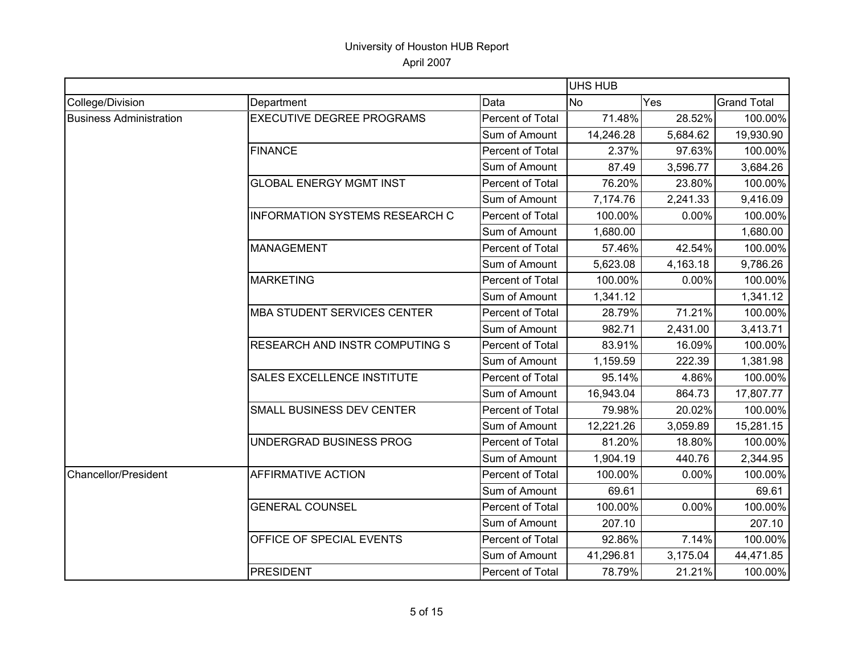|                                |                                       |                  | <b>UHS HUB</b> |          |                    |
|--------------------------------|---------------------------------------|------------------|----------------|----------|--------------------|
| College/Division               | Department                            | Data             | <b>No</b>      | Yes      | <b>Grand Total</b> |
| <b>Business Administration</b> | <b>EXECUTIVE DEGREE PROGRAMS</b>      | Percent of Total | 71.48%         | 28.52%   | 100.00%            |
|                                |                                       | Sum of Amount    | 14,246.28      | 5,684.62 | 19,930.90          |
|                                | <b>FINANCE</b>                        | Percent of Total | 2.37%          | 97.63%   | 100.00%            |
|                                |                                       | Sum of Amount    | 87.49          | 3,596.77 | 3,684.26           |
|                                | <b>GLOBAL ENERGY MGMT INST</b>        | Percent of Total | 76.20%         | 23.80%   | 100.00%            |
|                                |                                       | Sum of Amount    | 7,174.76       | 2,241.33 | 9,416.09           |
|                                | <b>INFORMATION SYSTEMS RESEARCH C</b> | Percent of Total | 100.00%        | 0.00%    | 100.00%            |
|                                |                                       | Sum of Amount    | 1,680.00       |          | 1,680.00           |
|                                | <b>MANAGEMENT</b>                     | Percent of Total | 57.46%         | 42.54%   | 100.00%            |
|                                |                                       | Sum of Amount    | 5,623.08       | 4,163.18 | 9,786.26           |
|                                | <b>MARKETING</b>                      | Percent of Total | 100.00%        | 0.00%    | 100.00%            |
|                                |                                       | Sum of Amount    | 1,341.12       |          | 1,341.12           |
|                                | <b>MBA STUDENT SERVICES CENTER</b>    | Percent of Total | 28.79%         | 71.21%   | 100.00%            |
|                                |                                       | Sum of Amount    | 982.71         | 2,431.00 | 3,413.71           |
|                                | <b>RESEARCH AND INSTR COMPUTING S</b> | Percent of Total | 83.91%         | 16.09%   | 100.00%            |
|                                |                                       | Sum of Amount    | 1,159.59       | 222.39   | 1,381.98           |
|                                | <b>SALES EXCELLENCE INSTITUTE</b>     | Percent of Total | 95.14%         | 4.86%    | 100.00%            |
|                                |                                       | Sum of Amount    | 16,943.04      | 864.73   | 17,807.77          |
|                                | SMALL BUSINESS DEV CENTER             | Percent of Total | 79.98%         | 20.02%   | 100.00%            |
|                                |                                       | Sum of Amount    | 12,221.26      | 3,059.89 | 15,281.15          |
|                                | UNDERGRAD BUSINESS PROG               | Percent of Total | 81.20%         | 18.80%   | 100.00%            |
|                                |                                       | Sum of Amount    | 1,904.19       | 440.76   | 2,344.95           |
| Chancellor/President           | <b>AFFIRMATIVE ACTION</b>             | Percent of Total | 100.00%        | 0.00%    | 100.00%            |
|                                |                                       | Sum of Amount    | 69.61          |          | 69.61              |
|                                | <b>GENERAL COUNSEL</b>                | Percent of Total | 100.00%        | 0.00%    | 100.00%            |
|                                |                                       | Sum of Amount    | 207.10         |          | 207.10             |
|                                | OFFICE OF SPECIAL EVENTS              | Percent of Total | 92.86%         | 7.14%    | 100.00%            |
|                                |                                       | Sum of Amount    | 41,296.81      | 3,175.04 | 44,471.85          |
|                                | <b>PRESIDENT</b>                      | Percent of Total | 78.79%         | 21.21%   | 100.00%            |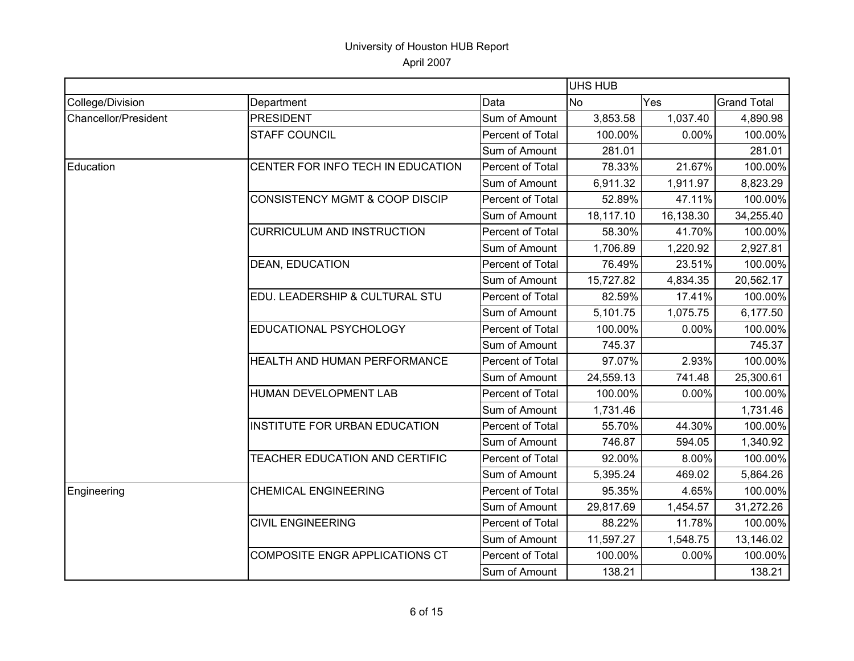|                             |                                           |                         | <b>UHS HUB</b> |           |                    |
|-----------------------------|-------------------------------------------|-------------------------|----------------|-----------|--------------------|
| College/Division            | Department                                | Data                    | <b>No</b>      | Yes       | <b>Grand Total</b> |
| <b>Chancellor/President</b> | <b>PRESIDENT</b>                          | Sum of Amount           | 3,853.58       | 1,037.40  | 4,890.98           |
|                             | <b>STAFF COUNCIL</b>                      | Percent of Total        | 100.00%        | 0.00%     | 100.00%            |
|                             |                                           | Sum of Amount           | 281.01         |           | 281.01             |
| Education                   | CENTER FOR INFO TECH IN EDUCATION         | <b>Percent of Total</b> | 78.33%         | 21.67%    | 100.00%            |
|                             |                                           | Sum of Amount           | 6,911.32       | 1,911.97  | 8,823.29           |
|                             | <b>CONSISTENCY MGMT &amp; COOP DISCIP</b> | Percent of Total        | 52.89%         | 47.11%    | 100.00%            |
|                             |                                           | Sum of Amount           | 18,117.10      | 16,138.30 | 34,255.40          |
|                             | <b>CURRICULUM AND INSTRUCTION</b>         | Percent of Total        | 58.30%         | 41.70%    | 100.00%            |
|                             |                                           | Sum of Amount           | 1,706.89       | 1,220.92  | 2,927.81           |
|                             | <b>DEAN, EDUCATION</b>                    | Percent of Total        | 76.49%         | 23.51%    | 100.00%            |
|                             |                                           | Sum of Amount           | 15,727.82      | 4,834.35  | 20,562.17          |
|                             | EDU. LEADERSHIP & CULTURAL STU            | Percent of Total        | 82.59%         | 17.41%    | 100.00%            |
|                             |                                           | Sum of Amount           | 5,101.75       | 1,075.75  | 6,177.50           |
|                             | EDUCATIONAL PSYCHOLOGY                    | Percent of Total        | 100.00%        | 0.00%     | 100.00%            |
|                             |                                           | Sum of Amount           | 745.37         |           | 745.37             |
|                             | HEALTH AND HUMAN PERFORMANCE              | Percent of Total        | 97.07%         | 2.93%     | 100.00%            |
|                             |                                           | Sum of Amount           | 24,559.13      | 741.48    | 25,300.61          |
|                             | HUMAN DEVELOPMENT LAB                     | Percent of Total        | 100.00%        | 0.00%     | 100.00%            |
|                             |                                           | Sum of Amount           | 1,731.46       |           | 1,731.46           |
|                             | <b>INSTITUTE FOR URBAN EDUCATION</b>      | Percent of Total        | 55.70%         | 44.30%    | 100.00%            |
|                             |                                           | Sum of Amount           | 746.87         | 594.05    | 1,340.92           |
|                             | TEACHER EDUCATION AND CERTIFIC            | Percent of Total        | 92.00%         | 8.00%     | 100.00%            |
|                             |                                           | Sum of Amount           | 5,395.24       | 469.02    | 5,864.26           |
| Engineering                 | <b>CHEMICAL ENGINEERING</b>               | Percent of Total        | 95.35%         | 4.65%     | 100.00%            |
|                             |                                           | Sum of Amount           | 29,817.69      | 1,454.57  | 31,272.26          |
|                             | <b>CIVIL ENGINEERING</b>                  | Percent of Total        | 88.22%         | 11.78%    | 100.00%            |
|                             |                                           | Sum of Amount           | 11,597.27      | 1,548.75  | 13,146.02          |
|                             | <b>COMPOSITE ENGR APPLICATIONS CT</b>     | Percent of Total        | 100.00%        | 0.00%     | 100.00%            |
|                             |                                           | Sum of Amount           | 138.21         |           | 138.21             |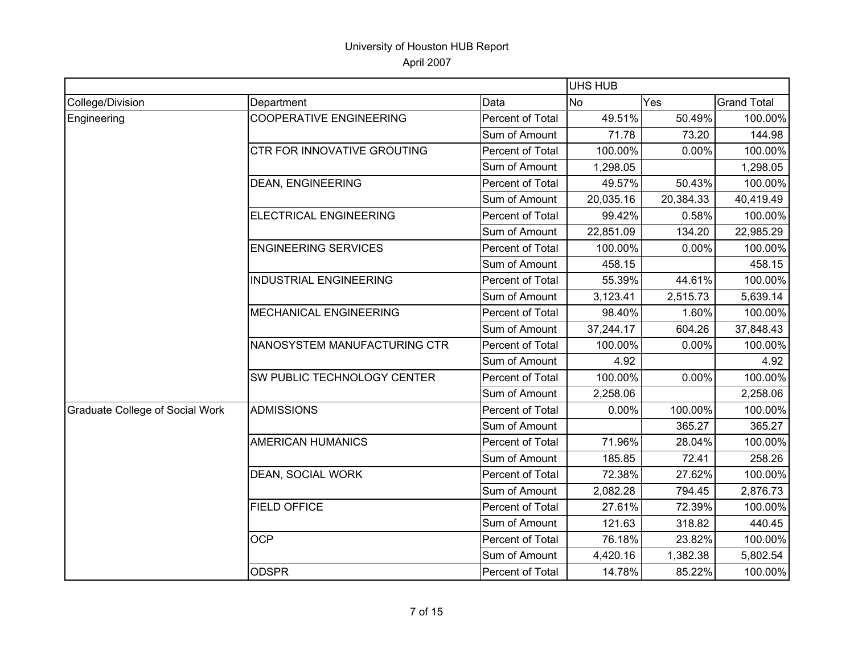|                                        |                                    |                         | UHS HUB   |           |                    |
|----------------------------------------|------------------------------------|-------------------------|-----------|-----------|--------------------|
| College/Division                       | Department                         | Data                    | <b>No</b> | Yes       | <b>Grand Total</b> |
| Engineering                            | <b>COOPERATIVE ENGINEERING</b>     | Percent of Total        | 49.51%    | 50.49%    | 100.00%            |
|                                        |                                    | Sum of Amount           | 71.78     | 73.20     | 144.98             |
|                                        | CTR FOR INNOVATIVE GROUTING        | Percent of Total        | 100.00%   | 0.00%     | 100.00%            |
|                                        |                                    | Sum of Amount           | 1,298.05  |           | 1,298.05           |
|                                        | <b>DEAN, ENGINEERING</b>           | Percent of Total        | 49.57%    | 50.43%    | 100.00%            |
|                                        |                                    | Sum of Amount           | 20,035.16 | 20,384.33 | 40,419.49          |
|                                        | ELECTRICAL ENGINEERING             | <b>Percent of Total</b> | 99.42%    | 0.58%     | 100.00%            |
|                                        |                                    | Sum of Amount           | 22,851.09 | 134.20    | 22,985.29          |
|                                        | <b>ENGINEERING SERVICES</b>        | Percent of Total        | 100.00%   | 0.00%     | 100.00%            |
|                                        |                                    | Sum of Amount           | 458.15    |           | 458.15             |
|                                        | <b>INDUSTRIAL ENGINEERING</b>      | Percent of Total        | 55.39%    | 44.61%    | 100.00%            |
|                                        |                                    | Sum of Amount           | 3,123.41  | 2,515.73  | 5,639.14           |
|                                        | <b>MECHANICAL ENGINEERING</b>      | Percent of Total        | 98.40%    | 1.60%     | 100.00%            |
|                                        |                                    | Sum of Amount           | 37,244.17 | 604.26    | 37,848.43          |
|                                        | NANOSYSTEM MANUFACTURING CTR       | Percent of Total        | 100.00%   | 0.00%     | 100.00%            |
|                                        |                                    | Sum of Amount           | 4.92      |           | 4.92               |
|                                        | <b>SW PUBLIC TECHNOLOGY CENTER</b> | Percent of Total        | 100.00%   | 0.00%     | 100.00%            |
|                                        |                                    | Sum of Amount           | 2,258.06  |           | 2,258.06           |
| <b>Graduate College of Social Work</b> | <b>ADMISSIONS</b>                  | Percent of Total        | 0.00%     | 100.00%   | 100.00%            |
|                                        |                                    | Sum of Amount           |           | 365.27    | 365.27             |
|                                        | <b>AMERICAN HUMANICS</b>           | Percent of Total        | 71.96%    | 28.04%    | 100.00%            |
|                                        |                                    | Sum of Amount           | 185.85    | 72.41     | 258.26             |
|                                        | DEAN, SOCIAL WORK                  | Percent of Total        | 72.38%    | 27.62%    | 100.00%            |
|                                        |                                    | Sum of Amount           | 2,082.28  | 794.45    | 2,876.73           |
|                                        | <b>FIELD OFFICE</b>                | Percent of Total        | 27.61%    | 72.39%    | 100.00%            |
|                                        |                                    | Sum of Amount           | 121.63    | 318.82    | 440.45             |
|                                        | <b>OCP</b>                         | Percent of Total        | 76.18%    | 23.82%    | 100.00%            |
|                                        |                                    | Sum of Amount           | 4,420.16  | 1,382.38  | 5,802.54           |
|                                        | <b>ODSPR</b>                       | Percent of Total        | 14.78%    | 85.22%    | 100.00%            |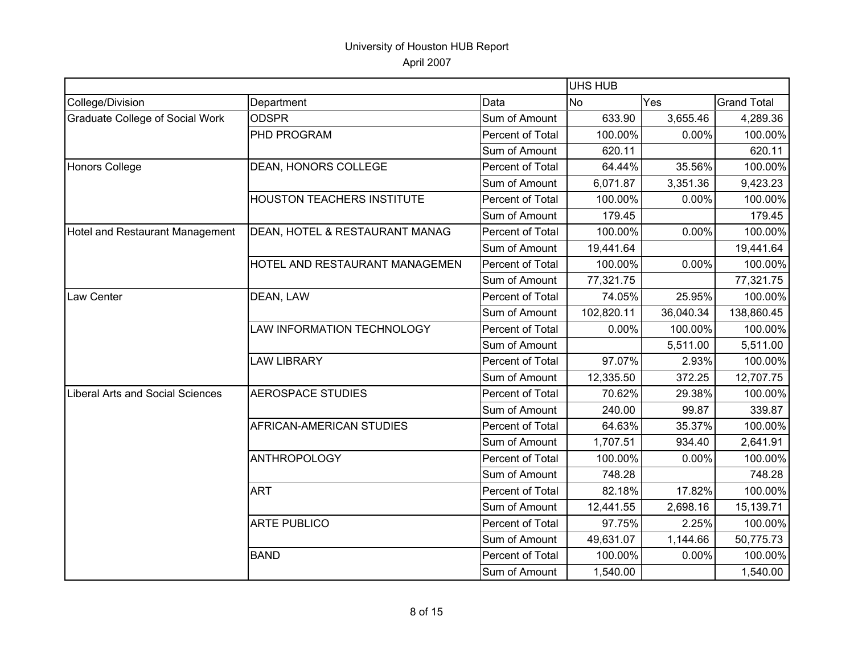|                                         |                                   |                         | <b>UHS HUB</b> |           |                    |
|-----------------------------------------|-----------------------------------|-------------------------|----------------|-----------|--------------------|
| College/Division                        | Department                        | Data                    | <b>No</b>      | Yes       | <b>Grand Total</b> |
| <b>Graduate College of Social Work</b>  | <b>ODSPR</b>                      | Sum of Amount           | 633.90         | 3,655.46  | 4,289.36           |
|                                         | PHD PROGRAM                       | Percent of Total        | 100.00%        | 0.00%     | 100.00%            |
|                                         |                                   | Sum of Amount           | 620.11         |           | 620.11             |
| Honors College                          | DEAN, HONORS COLLEGE              | Percent of Total        | 64.44%         | 35.56%    | 100.00%            |
|                                         |                                   | Sum of Amount           | 6,071.87       | 3,351.36  | 9,423.23           |
|                                         | <b>HOUSTON TEACHERS INSTITUTE</b> | Percent of Total        | 100.00%        | 0.00%     | 100.00%            |
|                                         |                                   | Sum of Amount           | 179.45         |           | 179.45             |
| <b>Hotel and Restaurant Management</b>  | DEAN, HOTEL & RESTAURANT MANAG    | Percent of Total        | 100.00%        | 0.00%     | 100.00%            |
|                                         |                                   | Sum of Amount           | 19,441.64      |           | 19,441.64          |
|                                         | HOTEL AND RESTAURANT MANAGEMEN    | Percent of Total        | 100.00%        | 0.00%     | 100.00%            |
|                                         |                                   | Sum of Amount           | 77,321.75      |           | 77,321.75          |
| Law Center                              | DEAN, LAW                         | Percent of Total        | 74.05%         | 25.95%    | 100.00%            |
|                                         |                                   | Sum of Amount           | 102,820.11     | 36,040.34 | 138,860.45         |
|                                         | LAW INFORMATION TECHNOLOGY        | Percent of Total        | 0.00%          | 100.00%   | 100.00%            |
|                                         |                                   | Sum of Amount           |                | 5,511.00  | 5,511.00           |
|                                         | <b>LAW LIBRARY</b>                | Percent of Total        | 97.07%         | 2.93%     | 100.00%            |
|                                         |                                   | Sum of Amount           | 12,335.50      | 372.25    | 12,707.75          |
| <b>Liberal Arts and Social Sciences</b> | <b>AEROSPACE STUDIES</b>          | Percent of Total        | 70.62%         | 29.38%    | 100.00%            |
|                                         |                                   | Sum of Amount           | 240.00         | 99.87     | 339.87             |
|                                         | AFRICAN-AMERICAN STUDIES          | Percent of Total        | 64.63%         | 35.37%    | 100.00%            |
|                                         |                                   | Sum of Amount           | 1,707.51       | 934.40    | 2,641.91           |
|                                         | <b>ANTHROPOLOGY</b>               | Percent of Total        | 100.00%        | 0.00%     | 100.00%            |
|                                         |                                   | Sum of Amount           | 748.28         |           | 748.28             |
|                                         | <b>ART</b>                        | Percent of Total        | 82.18%         | 17.82%    | 100.00%            |
|                                         |                                   | Sum of Amount           | 12,441.55      | 2,698.16  | 15,139.71          |
|                                         | <b>ARTE PUBLICO</b>               | Percent of Total        | 97.75%         | 2.25%     | 100.00%            |
|                                         |                                   | Sum of Amount           | 49,631.07      | 1,144.66  | 50,775.73          |
|                                         | <b>BAND</b>                       | <b>Percent of Total</b> | 100.00%        | 0.00%     | 100.00%            |
|                                         |                                   | Sum of Amount           | 1,540.00       |           | 1,540.00           |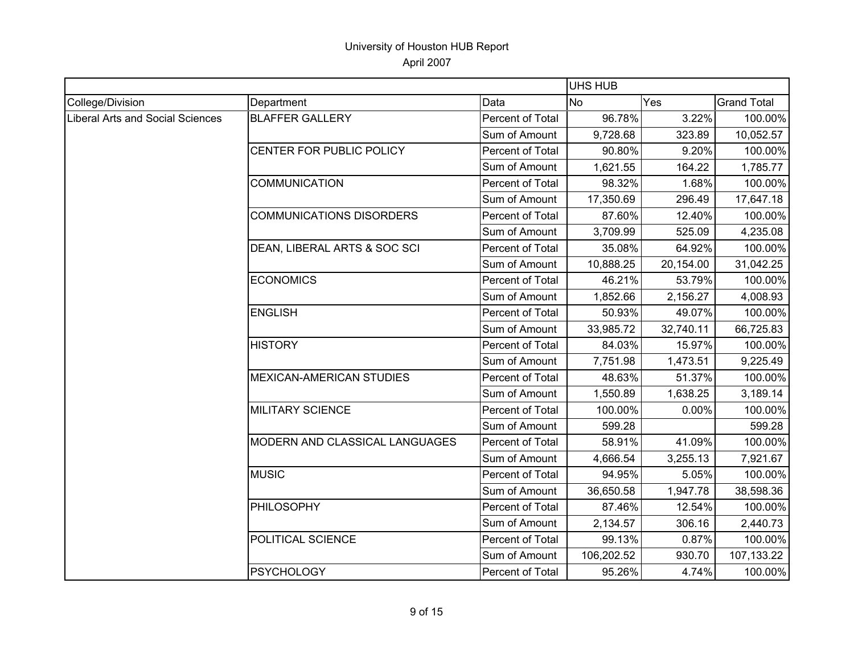|                                         |                                 |                         | UHS HUB    |           |                    |
|-----------------------------------------|---------------------------------|-------------------------|------------|-----------|--------------------|
| College/Division                        | Department                      | Data                    | <b>No</b>  | Yes       | <b>Grand Total</b> |
| <b>Liberal Arts and Social Sciences</b> | <b>BLAFFER GALLERY</b>          | Percent of Total        | 96.78%     | 3.22%     | 100.00%            |
|                                         |                                 | Sum of Amount           | 9,728.68   | 323.89    | 10,052.57          |
|                                         | CENTER FOR PUBLIC POLICY        | Percent of Total        | 90.80%     | 9.20%     | 100.00%            |
|                                         |                                 | Sum of Amount           | 1,621.55   | 164.22    | 1,785.77           |
|                                         | <b>COMMUNICATION</b>            | Percent of Total        | 98.32%     | 1.68%     | 100.00%            |
|                                         |                                 | Sum of Amount           | 17,350.69  | 296.49    | 17,647.18          |
|                                         | <b>COMMUNICATIONS DISORDERS</b> | Percent of Total        | 87.60%     | 12.40%    | 100.00%            |
|                                         |                                 | Sum of Amount           | 3,709.99   | 525.09    | 4,235.08           |
|                                         | DEAN, LIBERAL ARTS & SOC SCI    | Percent of Total        | 35.08%     | 64.92%    | 100.00%            |
|                                         |                                 | Sum of Amount           | 10,888.25  | 20,154.00 | 31,042.25          |
|                                         | <b>ECONOMICS</b>                | Percent of Total        | 46.21%     | 53.79%    | 100.00%            |
|                                         |                                 | Sum of Amount           | 1,852.66   | 2,156.27  | 4,008.93           |
|                                         | <b>ENGLISH</b>                  | Percent of Total        | 50.93%     | 49.07%    | 100.00%            |
|                                         |                                 | Sum of Amount           | 33,985.72  | 32,740.11 | 66,725.83          |
|                                         | <b>HISTORY</b>                  | Percent of Total        | 84.03%     | 15.97%    | 100.00%            |
|                                         |                                 | Sum of Amount           | 7,751.98   | 1,473.51  | 9,225.49           |
|                                         | <b>MEXICAN-AMERICAN STUDIES</b> | Percent of Total        | 48.63%     | 51.37%    | 100.00%            |
|                                         |                                 | Sum of Amount           | 1,550.89   | 1,638.25  | 3,189.14           |
|                                         | <b>MILITARY SCIENCE</b>         | Percent of Total        | 100.00%    | 0.00%     | 100.00%            |
|                                         |                                 | Sum of Amount           | 599.28     |           | 599.28             |
|                                         | MODERN AND CLASSICAL LANGUAGES  | Percent of Total        | 58.91%     | 41.09%    | 100.00%            |
|                                         |                                 | Sum of Amount           | 4,666.54   | 3,255.13  | 7,921.67           |
|                                         | <b>MUSIC</b>                    | <b>Percent of Total</b> | 94.95%     | 5.05%     | 100.00%            |
|                                         |                                 | Sum of Amount           | 36,650.58  | 1,947.78  | 38,598.36          |
|                                         | <b>PHILOSOPHY</b>               | Percent of Total        | 87.46%     | 12.54%    | 100.00%            |
|                                         |                                 | Sum of Amount           | 2,134.57   | 306.16    | 2,440.73           |
|                                         | POLITICAL SCIENCE               | Percent of Total        | 99.13%     | 0.87%     | 100.00%            |
|                                         |                                 | Sum of Amount           | 106,202.52 | 930.70    | 107,133.22         |
|                                         | <b>PSYCHOLOGY</b>               | Percent of Total        | 95.26%     | 4.74%     | 100.00%            |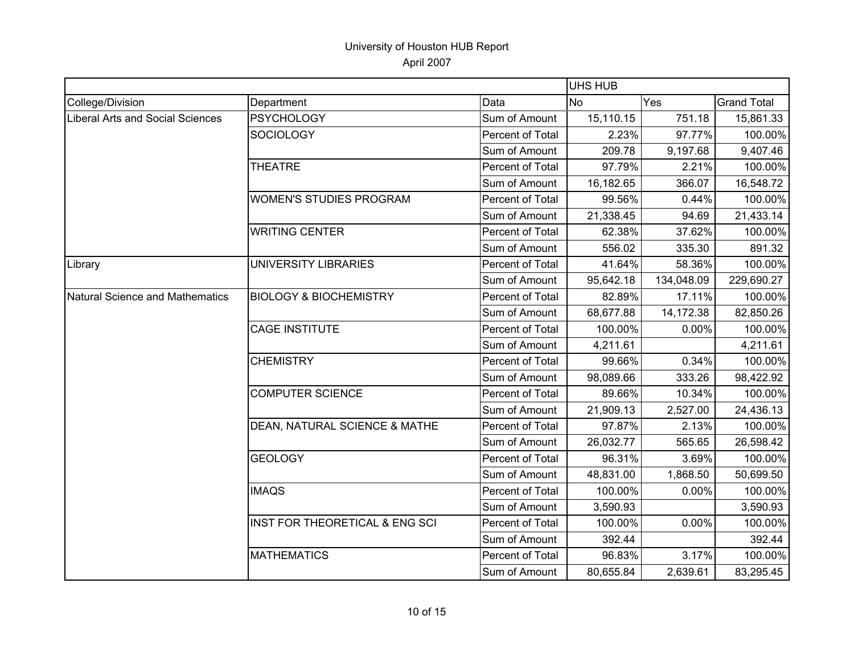|                                         |                                   |                  | <b>UHS HUB</b> |            |                    |
|-----------------------------------------|-----------------------------------|------------------|----------------|------------|--------------------|
| College/Division                        | Department                        | Data             | <b>No</b>      | Yes        | <b>Grand Total</b> |
| <b>Liberal Arts and Social Sciences</b> | <b>PSYCHOLOGY</b>                 | Sum of Amount    | 15,110.15      | 751.18     | 15,861.33          |
|                                         | <b>SOCIOLOGY</b>                  | Percent of Total | 2.23%          | 97.77%     | 100.00%            |
|                                         |                                   | Sum of Amount    | 209.78         | 9,197.68   | 9,407.46           |
|                                         | <b>THEATRE</b>                    | Percent of Total | 97.79%         | 2.21%      | 100.00%            |
|                                         |                                   | Sum of Amount    | 16,182.65      | 366.07     | 16,548.72          |
|                                         | <b>WOMEN'S STUDIES PROGRAM</b>    | Percent of Total | 99.56%         | 0.44%      | 100.00%            |
|                                         |                                   | Sum of Amount    | 21,338.45      | 94.69      | 21,433.14          |
|                                         | <b>WRITING CENTER</b>             | Percent of Total | 62.38%         | 37.62%     | 100.00%            |
|                                         |                                   | Sum of Amount    | 556.02         | 335.30     | 891.32             |
| Library                                 | UNIVERSITY LIBRARIES              | Percent of Total | 41.64%         | 58.36%     | 100.00%            |
|                                         |                                   | Sum of Amount    | 95,642.18      | 134,048.09 | 229,690.27         |
| <b>Natural Science and Mathematics</b>  | <b>BIOLOGY &amp; BIOCHEMISTRY</b> | Percent of Total | 82.89%         | 17.11%     | 100.00%            |
|                                         |                                   | Sum of Amount    | 68,677.88      | 14,172.38  | 82,850.26          |
|                                         | <b>CAGE INSTITUTE</b>             | Percent of Total | 100.00%        | 0.00%      | 100.00%            |
|                                         |                                   | Sum of Amount    | 4,211.61       |            | 4,211.61           |
|                                         | <b>CHEMISTRY</b>                  | Percent of Total | 99.66%         | 0.34%      | 100.00%            |
|                                         |                                   | Sum of Amount    | 98,089.66      | 333.26     | 98,422.92          |
|                                         | <b>COMPUTER SCIENCE</b>           | Percent of Total | 89.66%         | 10.34%     | 100.00%            |
|                                         |                                   | Sum of Amount    | 21,909.13      | 2,527.00   | 24,436.13          |
|                                         | DEAN, NATURAL SCIENCE & MATHE     | Percent of Total | 97.87%         | 2.13%      | 100.00%            |
|                                         |                                   | Sum of Amount    | 26,032.77      | 565.65     | 26,598.42          |
|                                         | <b>GEOLOGY</b>                    | Percent of Total | 96.31%         | 3.69%      | 100.00%            |
|                                         |                                   | Sum of Amount    | 48,831.00      | 1,868.50   | 50,699.50          |
|                                         | <b>IMAQS</b>                      | Percent of Total | 100.00%        | 0.00%      | 100.00%            |
|                                         |                                   | Sum of Amount    | 3,590.93       |            | 3,590.93           |
|                                         | INST FOR THEORETICAL & ENG SCI    | Percent of Total | 100.00%        | 0.00%      | 100.00%            |
|                                         |                                   | Sum of Amount    | 392.44         |            | 392.44             |
|                                         | <b>MATHEMATICS</b>                | Percent of Total | 96.83%         | 3.17%      | 100.00%            |
|                                         |                                   | Sum of Amount    | 80,655.84      | 2,639.61   | 83,295.45          |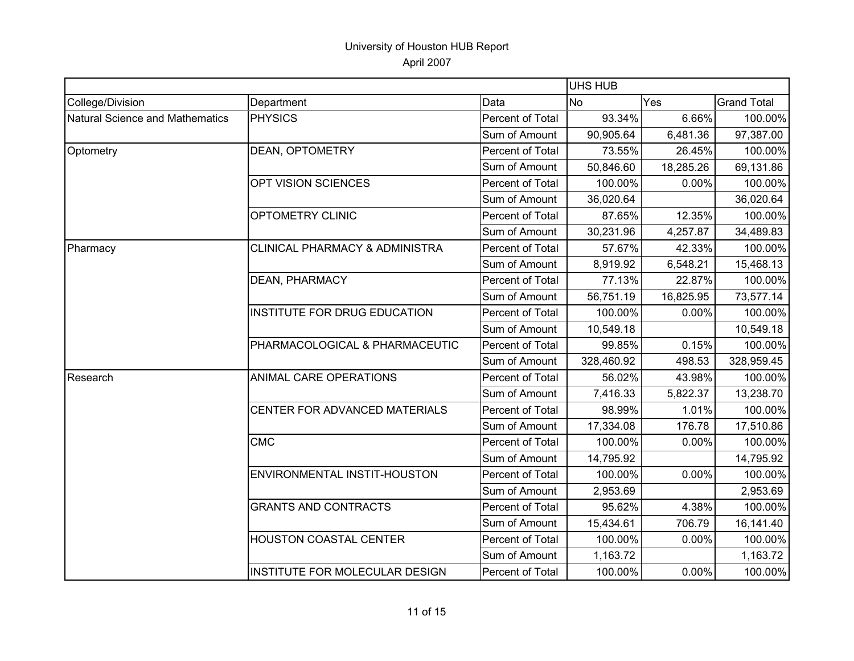|                                        |                                           |                  | UHS HUB    |           |                    |
|----------------------------------------|-------------------------------------------|------------------|------------|-----------|--------------------|
| College/Division                       | Department                                | Data             | <b>No</b>  | Yes       | <b>Grand Total</b> |
| <b>Natural Science and Mathematics</b> | <b>PHYSICS</b>                            | Percent of Total | 93.34%     | 6.66%     | 100.00%            |
|                                        |                                           | Sum of Amount    | 90,905.64  | 6,481.36  | 97,387.00          |
| Optometry                              | <b>DEAN, OPTOMETRY</b>                    | Percent of Total | 73.55%     | 26.45%    | 100.00%            |
|                                        |                                           | Sum of Amount    | 50,846.60  | 18,285.26 | 69,131.86          |
|                                        | OPT VISION SCIENCES                       | Percent of Total | 100.00%    | 0.00%     | 100.00%            |
|                                        |                                           | Sum of Amount    | 36,020.64  |           | 36,020.64          |
|                                        | OPTOMETRY CLINIC                          | Percent of Total | 87.65%     | 12.35%    | 100.00%            |
|                                        |                                           | Sum of Amount    | 30,231.96  | 4,257.87  | 34,489.83          |
| Pharmacy                               | <b>CLINICAL PHARMACY &amp; ADMINISTRA</b> | Percent of Total | 57.67%     | 42.33%    | 100.00%            |
|                                        |                                           | Sum of Amount    | 8,919.92   | 6,548.21  | 15,468.13          |
|                                        | DEAN, PHARMACY                            | Percent of Total | 77.13%     | 22.87%    | 100.00%            |
|                                        |                                           | Sum of Amount    | 56,751.19  | 16,825.95 | 73,577.14          |
|                                        | INSTITUTE FOR DRUG EDUCATION              | Percent of Total | 100.00%    | 0.00%     | 100.00%            |
|                                        |                                           | Sum of Amount    | 10,549.18  |           | 10,549.18          |
|                                        | PHARMACOLOGICAL & PHARMACEUTIC            | Percent of Total | 99.85%     | 0.15%     | 100.00%            |
|                                        |                                           | Sum of Amount    | 328,460.92 | 498.53    | 328,959.45         |
| Research                               | ANIMAL CARE OPERATIONS                    | Percent of Total | 56.02%     | 43.98%    | 100.00%            |
|                                        |                                           | Sum of Amount    | 7,416.33   | 5,822.37  | 13,238.70          |
|                                        | CENTER FOR ADVANCED MATERIALS             | Percent of Total | 98.99%     | 1.01%     | 100.00%            |
|                                        |                                           | Sum of Amount    | 17,334.08  | 176.78    | 17,510.86          |
|                                        | <b>CMC</b>                                | Percent of Total | 100.00%    | 0.00%     | 100.00%            |
|                                        |                                           | Sum of Amount    | 14,795.92  |           | 14,795.92          |
|                                        | ENVIRONMENTAL INSTIT-HOUSTON              | Percent of Total | 100.00%    | 0.00%     | 100.00%            |
|                                        |                                           | Sum of Amount    | 2,953.69   |           | 2,953.69           |
|                                        | <b>GRANTS AND CONTRACTS</b>               | Percent of Total | 95.62%     | 4.38%     | 100.00%            |
|                                        |                                           | Sum of Amount    | 15,434.61  | 706.79    | 16,141.40          |
|                                        | <b>HOUSTON COASTAL CENTER</b>             | Percent of Total | 100.00%    | 0.00%     | 100.00%            |
|                                        |                                           | Sum of Amount    | 1,163.72   |           | 1,163.72           |
|                                        | INSTITUTE FOR MOLECULAR DESIGN            | Percent of Total | 100.00%    | 0.00%     | 100.00%            |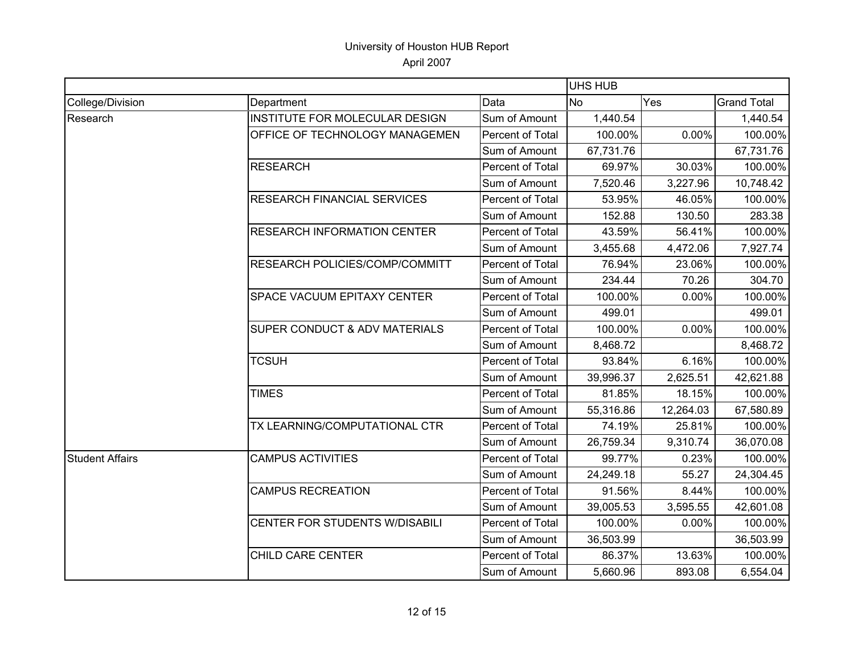|                        |                                    |                  | <b>UHS HUB</b> |           |                    |
|------------------------|------------------------------------|------------------|----------------|-----------|--------------------|
| College/Division       | Department                         | Data             | <b>No</b>      | Yes       | <b>Grand Total</b> |
| Research               | INSTITUTE FOR MOLECULAR DESIGN     | Sum of Amount    | 1,440.54       |           | 1,440.54           |
|                        | OFFICE OF TECHNOLOGY MANAGEMEN     | Percent of Total | 100.00%        | 0.00%     | 100.00%            |
|                        |                                    | Sum of Amount    | 67,731.76      |           | 67,731.76          |
|                        | <b>RESEARCH</b>                    | Percent of Total | 69.97%         | 30.03%    | 100.00%            |
|                        |                                    | Sum of Amount    | 7,520.46       | 3,227.96  | 10,748.42          |
|                        | <b>RESEARCH FINANCIAL SERVICES</b> | Percent of Total | 53.95%         | 46.05%    | 100.00%            |
|                        |                                    | Sum of Amount    | 152.88         | 130.50    | 283.38             |
|                        | <b>RESEARCH INFORMATION CENTER</b> | Percent of Total | 43.59%         | 56.41%    | 100.00%            |
|                        |                                    | Sum of Amount    | 3,455.68       | 4,472.06  | 7,927.74           |
|                        | RESEARCH POLICIES/COMP/COMMITT     | Percent of Total | 76.94%         | 23.06%    | 100.00%            |
|                        |                                    | Sum of Amount    | 234.44         | 70.26     | 304.70             |
|                        | <b>SPACE VACUUM EPITAXY CENTER</b> | Percent of Total | 100.00%        | 0.00%     | 100.00%            |
|                        |                                    | Sum of Amount    | 499.01         |           | 499.01             |
|                        | SUPER CONDUCT & ADV MATERIALS      | Percent of Total | 100.00%        | 0.00%     | 100.00%            |
|                        |                                    | Sum of Amount    | 8,468.72       |           | 8,468.72           |
|                        | <b>TCSUH</b>                       | Percent of Total | 93.84%         | 6.16%     | 100.00%            |
|                        |                                    | Sum of Amount    | 39,996.37      | 2,625.51  | 42,621.88          |
|                        | <b>TIMES</b>                       | Percent of Total | 81.85%         | 18.15%    | 100.00%            |
|                        |                                    | Sum of Amount    | 55,316.86      | 12,264.03 | 67,580.89          |
|                        | TX LEARNING/COMPUTATIONAL CTR      | Percent of Total | 74.19%         | 25.81%    | 100.00%            |
|                        |                                    | Sum of Amount    | 26,759.34      | 9,310.74  | 36,070.08          |
| <b>Student Affairs</b> | <b>CAMPUS ACTIVITIES</b>           | Percent of Total | 99.77%         | 0.23%     | 100.00%            |
|                        |                                    | Sum of Amount    | 24,249.18      | 55.27     | 24,304.45          |
|                        | <b>CAMPUS RECREATION</b>           | Percent of Total | 91.56%         | 8.44%     | 100.00%            |
|                        |                                    | Sum of Amount    | 39,005.53      | 3,595.55  | 42,601.08          |
|                        | CENTER FOR STUDENTS W/DISABILI     | Percent of Total | 100.00%        | 0.00%     | 100.00%            |
|                        |                                    | Sum of Amount    | 36,503.99      |           | 36,503.99          |
|                        | CHILD CARE CENTER                  | Percent of Total | 86.37%         | 13.63%    | 100.00%            |
|                        |                                    | Sum of Amount    | 5,660.96       | 893.08    | 6,554.04           |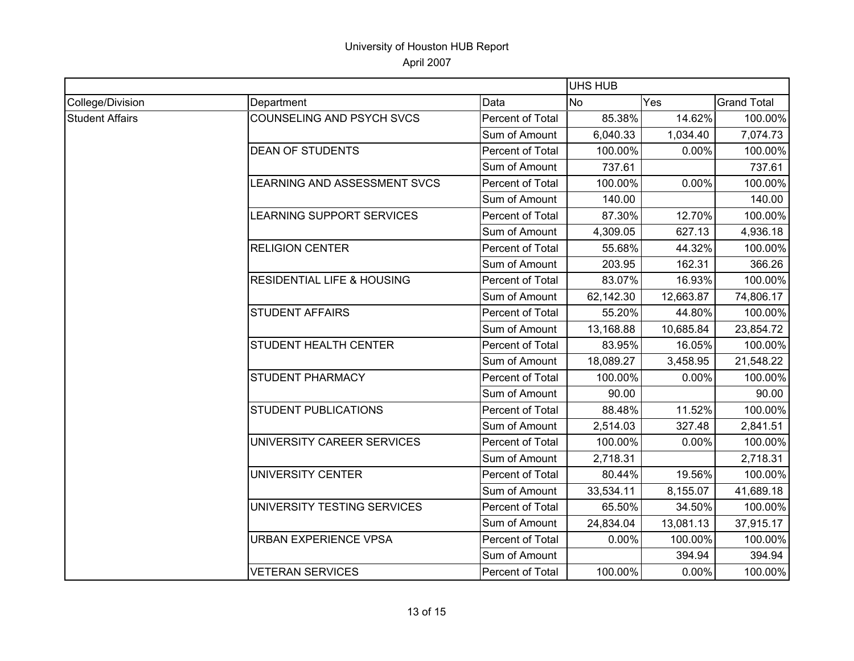|                        |                                       | UHS HUB          |           |           |                    |
|------------------------|---------------------------------------|------------------|-----------|-----------|--------------------|
| College/Division       | Department                            | Data             | <b>No</b> | Yes       | <b>Grand Total</b> |
| <b>Student Affairs</b> | COUNSELING AND PSYCH SVCS             | Percent of Total | 85.38%    | 14.62%    | 100.00%            |
|                        |                                       | Sum of Amount    | 6,040.33  | 1,034.40  | 7,074.73           |
|                        | <b>DEAN OF STUDENTS</b>               | Percent of Total | 100.00%   | 0.00%     | 100.00%            |
|                        |                                       | Sum of Amount    | 737.61    |           | 737.61             |
|                        | LEARNING AND ASSESSMENT SVCS          | Percent of Total | 100.00%   | 0.00%     | 100.00%            |
|                        |                                       | Sum of Amount    | 140.00    |           | 140.00             |
|                        | LEARNING SUPPORT SERVICES             | Percent of Total | 87.30%    | 12.70%    | 100.00%            |
|                        |                                       | Sum of Amount    | 4,309.05  | 627.13    | 4,936.18           |
|                        | <b>RELIGION CENTER</b>                | Percent of Total | 55.68%    | 44.32%    | 100.00%            |
|                        |                                       | Sum of Amount    | 203.95    | 162.31    | 366.26             |
|                        | <b>RESIDENTIAL LIFE &amp; HOUSING</b> | Percent of Total | 83.07%    | 16.93%    | 100.00%            |
|                        |                                       | Sum of Amount    | 62,142.30 | 12,663.87 | 74,806.17          |
|                        | <b>STUDENT AFFAIRS</b>                | Percent of Total | 55.20%    | 44.80%    | 100.00%            |
|                        |                                       | Sum of Amount    | 13,168.88 | 10,685.84 | 23,854.72          |
|                        | <b>STUDENT HEALTH CENTER</b>          | Percent of Total | 83.95%    | 16.05%    | 100.00%            |
|                        |                                       | Sum of Amount    | 18,089.27 | 3,458.95  | 21,548.22          |
|                        | <b>STUDENT PHARMACY</b>               | Percent of Total | 100.00%   | 0.00%     | 100.00%            |
|                        |                                       | Sum of Amount    | 90.00     |           | 90.00              |
|                        | <b>STUDENT PUBLICATIONS</b>           | Percent of Total | 88.48%    | 11.52%    | 100.00%            |
|                        |                                       | Sum of Amount    | 2,514.03  | 327.48    | 2,841.51           |
|                        | UNIVERSITY CAREER SERVICES            | Percent of Total | 100.00%   | 0.00%     | 100.00%            |
|                        |                                       | Sum of Amount    | 2,718.31  |           | 2,718.31           |
|                        | <b>UNIVERSITY CENTER</b>              | Percent of Total | 80.44%    | 19.56%    | 100.00%            |
|                        |                                       | Sum of Amount    | 33,534.11 | 8,155.07  | 41,689.18          |
|                        | UNIVERSITY TESTING SERVICES           | Percent of Total | 65.50%    | 34.50%    | 100.00%            |
|                        |                                       | Sum of Amount    | 24,834.04 | 13,081.13 | 37,915.17          |
|                        | <b>URBAN EXPERIENCE VPSA</b>          | Percent of Total | 0.00%     | 100.00%   | 100.00%            |
|                        |                                       | Sum of Amount    |           | 394.94    | 394.94             |
|                        | <b>VETERAN SERVICES</b>               | Percent of Total | 100.00%   | 0.00%     | 100.00%            |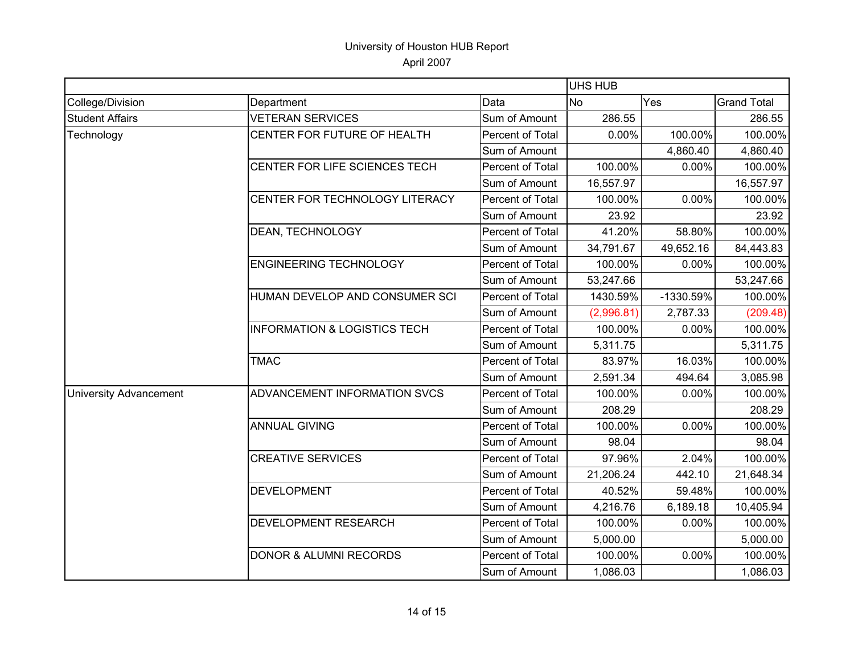|                               |                                         |                  | UHS HUB    |           |                    |
|-------------------------------|-----------------------------------------|------------------|------------|-----------|--------------------|
| College/Division              | Department                              | Data             | <b>No</b>  | Yes       | <b>Grand Total</b> |
| <b>Student Affairs</b>        | <b>VETERAN SERVICES</b>                 | Sum of Amount    | 286.55     |           | 286.55             |
| Technology                    | CENTER FOR FUTURE OF HEALTH             | Percent of Total | 0.00%      | 100.00%   | 100.00%            |
|                               |                                         | Sum of Amount    |            | 4,860.40  | 4,860.40           |
|                               | CENTER FOR LIFE SCIENCES TECH           | Percent of Total | 100.00%    | 0.00%     | 100.00%            |
|                               |                                         | Sum of Amount    | 16,557.97  |           | 16,557.97          |
|                               | CENTER FOR TECHNOLOGY LITERACY          | Percent of Total | 100.00%    | 0.00%     | 100.00%            |
|                               |                                         | Sum of Amount    | 23.92      |           | 23.92              |
|                               | DEAN, TECHNOLOGY                        | Percent of Total | 41.20%     | 58.80%    | 100.00%            |
|                               |                                         | Sum of Amount    | 34,791.67  | 49,652.16 | 84,443.83          |
|                               | <b>ENGINEERING TECHNOLOGY</b>           | Percent of Total | 100.00%    | 0.00%     | 100.00%            |
|                               |                                         | Sum of Amount    | 53,247.66  |           | 53,247.66          |
|                               | HUMAN DEVELOP AND CONSUMER SCI          | Percent of Total | 1430.59%   | -1330.59% | 100.00%            |
|                               |                                         | Sum of Amount    | (2,996.81) | 2,787.33  | (209.48)           |
|                               | <b>INFORMATION &amp; LOGISTICS TECH</b> | Percent of Total | 100.00%    | 0.00%     | 100.00%            |
|                               |                                         | Sum of Amount    | 5,311.75   |           | 5,311.75           |
|                               | <b>TMAC</b>                             | Percent of Total | 83.97%     | 16.03%    | 100.00%            |
|                               |                                         | Sum of Amount    | 2,591.34   | 494.64    | 3,085.98           |
| <b>University Advancement</b> | ADVANCEMENT INFORMATION SVCS            | Percent of Total | 100.00%    | 0.00%     | 100.00%            |
|                               |                                         | Sum of Amount    | 208.29     |           | 208.29             |
|                               | <b>ANNUAL GIVING</b>                    | Percent of Total | 100.00%    | 0.00%     | 100.00%            |
|                               |                                         | Sum of Amount    | 98.04      |           | 98.04              |
|                               | <b>CREATIVE SERVICES</b>                | Percent of Total | 97.96%     | 2.04%     | 100.00%            |
|                               |                                         | Sum of Amount    | 21,206.24  | 442.10    | 21,648.34          |
|                               | <b>DEVELOPMENT</b>                      | Percent of Total | 40.52%     | 59.48%    | 100.00%            |
|                               |                                         | Sum of Amount    | 4,216.76   | 6,189.18  | 10,405.94          |
|                               | DEVELOPMENT RESEARCH                    | Percent of Total | 100.00%    | 0.00%     | 100.00%            |
|                               |                                         | Sum of Amount    | 5,000.00   |           | 5,000.00           |
|                               | <b>DONOR &amp; ALUMNI RECORDS</b>       | Percent of Total | 100.00%    | 0.00%     | 100.00%            |
|                               |                                         | Sum of Amount    | 1,086.03   |           | 1,086.03           |